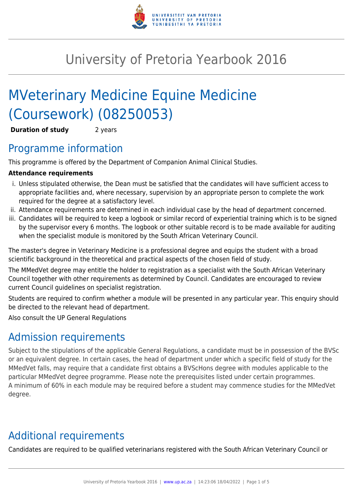

# University of Pretoria Yearbook 2016

# MVeterinary Medicine Equine Medicine (Coursework) (08250053)

**Duration of study** 2 years

## Programme information

This programme is offered by the Department of Companion Animal Clinical Studies.

### **Attendance requirements**

- i. Unless stipulated otherwise, the Dean must be satisfied that the candidates will have sufficient access to appropriate facilities and, where necessary, supervision by an appropriate person to complete the work required for the degree at a satisfactory level.
- ii. Attendance requirements are determined in each individual case by the head of department concerned.
- iii. Candidates will be required to keep a logbook or similar record of experiential training which is to be signed by the supervisor every 6 months. The logbook or other suitable record is to be made available for auditing when the specialist module is monitored by the South African Veterinary Council.

The master's degree in Veterinary Medicine is a professional degree and equips the student with a broad scientific background in the theoretical and practical aspects of the chosen field of study.

The MMedVet degree may entitle the holder to registration as a specialist with the South African Veterinary Council together with other requirements as determined by Council. Candidates are encouraged to review current Council guidelines on specialist registration.

Students are required to confirm whether a module will be presented in any particular year. This enquiry should be directed to the relevant head of department.

Also consult the UP General Regulations

# Admission requirements

Subject to the stipulations of the applicable General Regulations, a candidate must be in possession of the BVSc or an equivalent degree. In certain cases, the head of department under which a specific field of study for the MMedVet falls, may require that a candidate first obtains a BVScHons degree with modules applicable to the particular MMedVet degree programme. Please note the prerequisites listed under certain programmes. A minimum of 60% in each module may be required before a student may commence studies for the MMedVet degree.

# Additional requirements

Candidates are required to be qualified veterinarians registered with the South African Veterinary Council or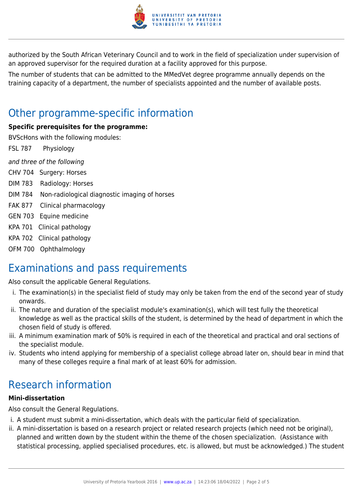

authorized by the South African Veterinary Council and to work in the field of specialization under supervision of an approved supervisor for the required duration at a facility approved for this purpose.

The number of students that can be admitted to the MMedVet degree programme annually depends on the training capacity of a department, the number of specialists appointed and the number of available posts.

# Other programme-specific information

#### **Specific prerequisites for the programme:**

BVScHons with the following modules:

FSL 787 Physiology

and three of the following

- CHV 704 Surgery: Horses
- DIM 783 Radiology: Horses
- DIM 784 Non-radiological diagnostic imaging of horses
- FAK 877 Clinical pharmacology
- GEN 703 Equine medicine
- KPA 701 Clinical pathology
- KPA 702 Clinical pathology
- OFM 700 Ophthalmology

# Examinations and pass requirements

Also consult the applicable General Regulations.

- i. The examination(s) in the specialist field of study may only be taken from the end of the second year of study onwards.
- ii. The nature and duration of the specialist module's examination(s), which will test fully the theoretical knowledge as well as the practical skills of the student, is determined by the head of department in which the chosen field of study is offered.
- iii. A minimum examination mark of 50% is required in each of the theoretical and practical and oral sections of the specialist module.
- iv. Students who intend applying for membership of a specialist college abroad later on, should bear in mind that many of these colleges require a final mark of at least 60% for admission.

# Research information

#### **Mini-dissertation**

Also consult the General Regulations.

- i. A student must submit a mini-dissertation, which deals with the particular field of specialization.
- ii. A mini-dissertation is based on a research project or related research projects (which need not be original), planned and written down by the student within the theme of the chosen specialization. (Assistance with statistical processing, applied specialised procedures, etc. is allowed, but must be acknowledged.) The student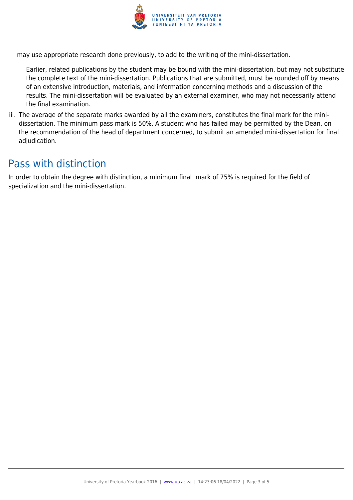

may use appropriate research done previously, to add to the writing of the mini-dissertation.

Earlier, related publications by the student may be bound with the mini-dissertation, but may not substitute the complete text of the mini-dissertation. Publications that are submitted, must be rounded off by means of an extensive introduction, materials, and information concerning methods and a discussion of the results. The mini-dissertation will be evaluated by an external examiner, who may not necessarily attend the final examination.

iii. The average of the separate marks awarded by all the examiners, constitutes the final mark for the minidissertation. The minimum pass mark is 50%. A student who has failed may be permitted by the Dean, on the recommendation of the head of department concerned, to submit an amended mini-dissertation for final adjudication.

### Pass with distinction

In order to obtain the degree with distinction, a minimum final mark of 75% is required for the field of specialization and the mini-dissertation.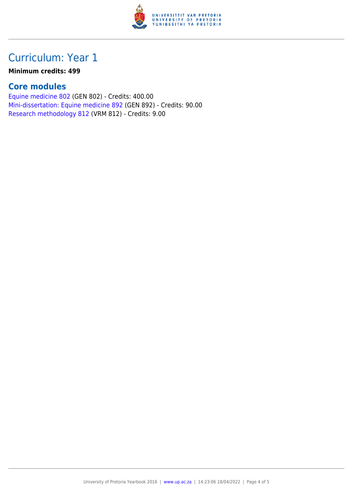

## Curriculum: Year 1

#### **Minimum credits: 499**

### **Core modules**

[Equine medicine 802](https://www.up.ac.za/mechanical-and-aeronautical-engineering/yearbooks/2016/modules/view/GEN 802) (GEN 802) - Credits: 400.00 [Mini-dissertation: Equine medicine 892](https://www.up.ac.za/mechanical-and-aeronautical-engineering/yearbooks/2016/modules/view/GEN 892) (GEN 892) - Credits: 90.00 [Research methodology 812](https://www.up.ac.za/mechanical-and-aeronautical-engineering/yearbooks/2016/modules/view/VRM 812) (VRM 812) - Credits: 9.00